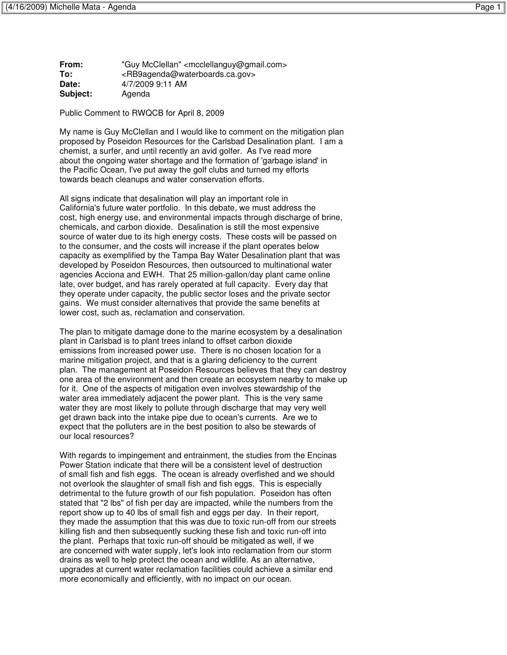**From:** "Guy McClellan" <mcclellanguy@gmail.com> **To:** <RB9agenda@waterboards.ca.gov> **Date:** 4/7/2009 9:11 AM **Subject:** Agenda

Public Comment to RWQCB for April 8, 2009

My name is Guy McClellan and I would like to comment on the mitigation plan proposed by Poseidon Resources for the Carlsbad Desalination plant. I am a chemist, a surfer, and until recently an avid golfer. As I've read more about the ongoing water shortage and the formation of 'garbage island' in the Pacific Ocean, I've put away the golf clubs and turned my efforts towards beach cleanups and water conservation efforts.

All signs indicate that desalination will play an important role in California's future water portfolio. In this debate, we must address the cost, high energy use, and environmental impacts through discharge of brine, chemicals, and carbon dioxide. Desalination is still the most expensive source of water due to its high energy costs. These costs will be passed on to the consumer, and the costs will increase if the plant operates below capacity as exemplified by the Tampa Bay Water Desalination plant that was developed by Poseidon Resources, then outsourced to multinational water agencies Acciona and EWH. That 25 million-gallon/day plant came online late, over budget, and has rarely operated at full capacity. Every day that they operate under capacity, the public sector loses and the private sector gains. We must consider alternatives that provide the same benefits at lower cost, such as, reclamation and conservation.

The plan to mitigate damage done to the marine ecosystem by a desalination plant in Carlsbad is to plant trees inland to offset carbon dioxide emissions from increased power use. There is no chosen location for a marine mitigation project, and that is a glaring deficiency to the current plan. The management at Poseidon Resources believes that they can destroy one area of the environment and then create an ecosystem nearby to make up for it. One of the aspects of mitigation even involves stewardship of the water area immediately adjacent the power plant. This is the very same water they are most likely to pollute through discharge that may very well get drawn back into the intake pipe due to ocean's currents. Are we to expect that the polluters are in the best position to also be stewards of our local resources?

With regards to impingement and entrainment, the studies from the Encinas Power Station indicate that there will be a consistent level of destruction of small fish and fish eggs. The ocean is already overfished and we should not overlook the slaughter of small fish and fish eggs. This is especially detrimental to the future growth of our fish population. Poseidon has often stated that "2 lbs" of fish per day are impacted, while the numbers from the report show up to 40 lbs of small fish and eggs per day. In their report, they made the assumption that this was due to toxic run-off from our streets killing fish and then subsequently sucking these fish and toxic run-off into the plant. Perhaps that toxic run-off should be mitigated as well, if we are concerned with water supply, let's look into reclamation from our storm drains as well to help protect the ocean and wildlife. As an alternative, upgrades at current water reclamation facilities could achieve a similar end more economically and efficiently, with no impact on our ocean.